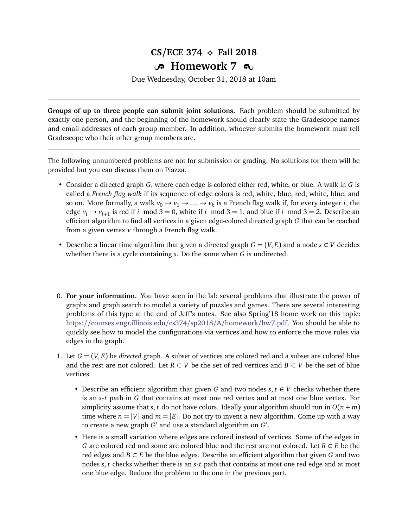## $CS/ECE$  374  $\leftrightarrow$  Fall 2018 **B** Homework 7  $\infty$

Due Wednesday, October 31, 2018 at 10am

**Groups of up to three people can submit joint solutions.** Each problem should be submitted by exactly one person, and the beginning of the homework should clearly state the Gradescope names and email addresses of each group member. In addition, whoever submits the homework must tell Gradescope who their other group members are.

The following unnumbered problems are not for submission or grading. No solutions for them will be provided but you can discuss them on Piazza.

- Consider a directed graph *G*, where each edge is colored either red, white, or blue. A walk in *G* is called a *French flag walk* if its sequence of edge colors is red, white, blue, red, white, blue, and so on. More formally, a walk  $v_0 \to v_1 \to \ldots \to v_k$  is a French flag walk if, for every integer *i*, the edge  $v_i \rightarrow v_{i+1}$  is red if *i* mod 3 = 0, white if *i* mod 3 = 1, and blue if *i* mod 3 = 2. Describe an efficient algorithm to find all vertices in a given edge-colored directed graph *G* that can be reached from a given vertex *v* through a French flag walk.
- Describe a linear time algorithm that given a directed graph  $G = (V, E)$  and a node  $s \in V$  decides whether there is a cycle containing *s*. Do the same when *G* is undirected.
- 0. **For your information.** You have seen in the lab several problems that illustrate the power of graphs and graph search to model a variety of puzzles and games. There are several interesting problems of this type at the end of Jeff's notes. See also Spring'18 home work on this topic: https://[courses.engr.illinois.edu](https://courses.engr.illinois.edu/cs374/sp2018/A/homework/hw7.pdf)/cs374/sp2018/A/homework/hw7.pdf. You should be able to quickly see how to model the configurations via vertices and how to enforce the move rules via edges in the graph.
- 1. Let *G* = (*V*, *E*) be *directed* graph. A subset of vertices are colored red and a subset are colored blue and the rest are not colored. Let  $R \subset V$  be the set of red vertices and  $B \subset V$  be the set of blue vertices.
	- Describe an efficient algorithm that given G and two nodes  $s, t \in V$  checks whether there is an *s*-*t* path in *G* that contains at most one red vertex and at most one blue vertex. For simplicity assume that *s*, *t* do not have colors. Ideally your algorithm should run in  $O(n + m)$ time where  $n = |V|$  and  $m = |E|$ . Do not try to invent a new algorithm. Come up with a way to create a new graph *G'* and use a standard algorithm on *G'*.
	- Here is a small variation where edges are colored instead of vertices. Some of the edges in *G* are colored red and some are colored blue and the rest are not colored. Let *R* ⊂ *E* be the red edges and *B* ⊂ *E* be the blue edges. Describe an efficient algorithm that given *G* and two nodes *s*, *t* checks whether there is an *s*-*t* path that contains at most one red edge and at most one blue edge. Reduce the problem to the one in the previous part.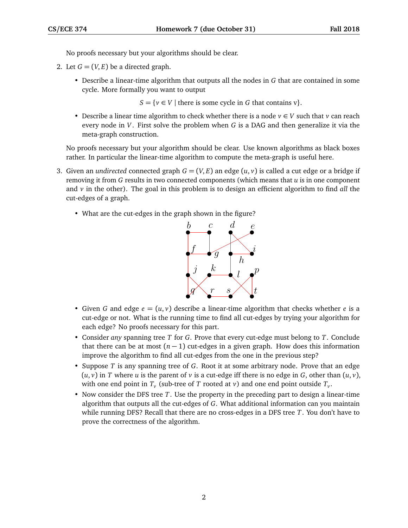No proofs necessary but your algorithms should be clear.

- 2. Let  $G = (V, E)$  be a directed graph.
	- Describe a linear-time algorithm that outputs all the nodes in *G* that are contained in some cycle. More formally you want to output

 $S = \{v \in V \mid \text{there is some cycle in } G \text{ that contains } v\}.$ 

• Describe a linear time algorithm to check whether there is a node  $v \in V$  such that  $v$  can reach every node in *V*. First solve the problem when *G* is a DAG and then generalize it via the meta-graph construction.

No proofs necessary but your algorithm should be clear. Use known algorithms as black boxes rather. In particular the linear-time algorithm to compute the meta-graph is useful here.

- 3. Given an *undirected* connected graph  $G = (V, E)$  an edge  $(u, v)$  is called a cut edge or a bridge if removing it from *G* results in two connected components (which means that *u* is in one component and *v* in the other). The goal in this problem is to design an efficient algorithm to find *all* the cut-edges of a graph.
	- What are the cut-edges in the graph shown in the figure?



- Given G and edge  $e = (u, v)$  describe a linear-time algorithm that checks whether e is a cut-edge or not. What is the running time to find all cut-edges by trying your algorithm for each edge? No proofs necessary for this part.
- Consider *any* spanning tree *T* for *G*. Prove that every cut-edge must belong to *T*. Conclude that there can be at most  $(n - 1)$  cut-edges in a given graph. How does this information improve the algorithm to find all cut-edges from the one in the previous step?
- Suppose *T* is any spanning tree of *G*. Root it at some arbitrary node. Prove that an edge  $(u, v)$  in *T* where *u* is the parent of *v* is a cut-edge iff there is no edge in *G*, other than  $(u, v)$ , with one end point in  $T_\nu$  (sub-tree of  $T$  rooted at  $\nu$ ) and one end point outside  $T_\nu$ .
- Now consider the DFS tree *T*. Use the property in the preceding part to design a linear-time algorithm that outputs all the cut-edges of *G*. What additional information can you maintain while running DFS? Recall that there are no cross-edges in a DFS tree *T*. You don't have to prove the correctness of the algorithm.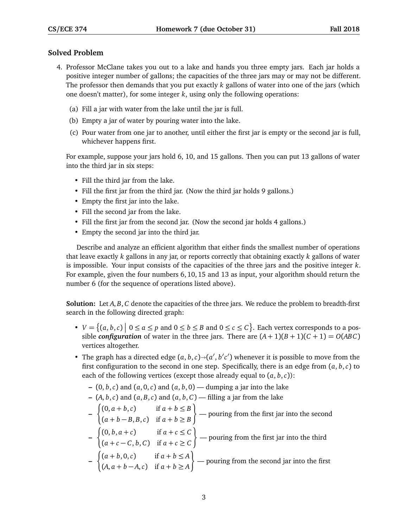## **Solved Problem**

- 4. Professor McClane takes you out to a lake and hands you three empty jars. Each jar holds a positive integer number of gallons; the capacities of the three jars may or may not be different. The professor then demands that you put exactly *k* gallons of water into one of the jars (which one doesn't matter), for some integer *k*, using only the following operations:
	- (a) Fill a jar with water from the lake until the jar is full.
	- (b) Empty a jar of water by pouring water into the lake.
	- (c) Pour water from one jar to another, until either the first jar is empty or the second jar is full, whichever happens first.

For example, suppose your jars hold 6, 10, and 15 gallons. Then you can put 13 gallons of water into the third jar in six steps:

- Fill the third jar from the lake.
- Fill the first jar from the third jar. (Now the third jar holds 9 gallons.)
- Empty the first jar into the lake.
- Fill the second jar from the lake.
- Fill the first jar from the second jar. (Now the second jar holds 4 gallons.)
- Empty the second jar into the third jar.

Describe and analyze an efficient algorithm that either finds the smallest number of operations that leave exactly *k* gallons in any jar, or reports correctly that obtaining exactly *k* gallons of water is impossible. Your input consists of the capacities of the three jars and the positive integer *k*. For example, given the four numbers 6, 10, 15 and 13 as input, your algorithm should return the number 6 (for the sequence of operations listed above).

**Solution:** Let *A*, *B*, *C* denote the capacities of the three jars. We reduce the problem to breadth-first search in the following directed graph:

- $V = \{(a, b, c) \mid 0 \le a \le p \text{ and } 0 \le b \le B \text{ and } 0 \le c \le C\}$ . Each vertex corresponds to a possible *configuration* of water in the three jars. There are  $(A + 1)(B + 1)(C + 1) = O(ABC)$ vertices altogether.
- The graph has a directed edge  $(a, b, c) \rightarrow (a', b'c')$  whenever it is possible to move from the first configuration to the second in one stap. Specifically, there is an adge from  $(a, b, c)$  to first configuration to the second in one step. Specifically, there is an edge from  $(a, b, c)$  to each of the following vertices (except those already equal to  $(a, b, c)$ ):
	- **–** (0, *b*,*c*) and (*a*, 0,*c*) and (*a*, *b*, 0) dumping a jar into the lake

- 
$$
(A, b, c)
$$
 and  $(a, B, c)$  and  $(a, b, C)$  — filling a jar from the lake

- **–**  $\int (0, a+b, c)$  if  $a+b \leq B$  $(a + b - B, B, c)$  if  $a + b \ge B$  $\mathcal{L}$ — pouring from the first jar into the second
- **–**  $\int (0, b, a + c)$  if  $a + c \leq C$  $(a + c - C, b, C)$  if  $a + c \geq C$  $\mathcal{L}$ — pouring from the first jar into the third
- **–**  $\int (a+b,0,c)$  if  $a+b \leq A$  $(A, a + b - A, c)$  if  $a + b \ge A$  $\mathcal{L}$ — pouring from the second jar into the first